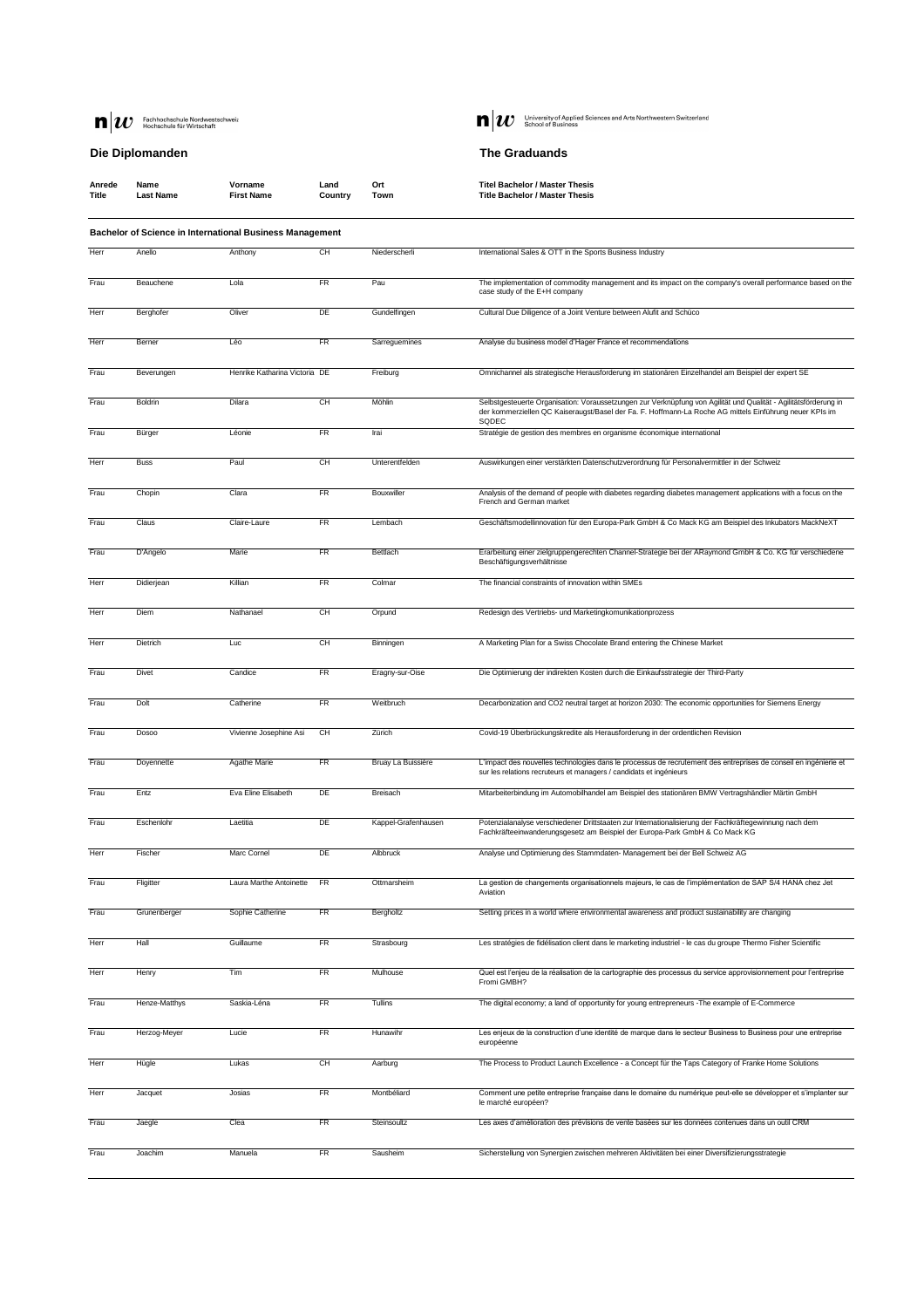

 $\blacksquare$  University of Applied Sciences and Arts Northwestern Switzerland<br>School of Business

## **Die Diplomanden The Graduands**

| <b>Anrede</b> | <b>Name</b>           | Vorname           | Land    | Ort  | <b>Titel Bachelor / Master Thesis</b> |
|---------------|-----------------------|-------------------|---------|------|---------------------------------------|
| <b>Title</b>  | <sub>-</sub> ast Name | <b>First Name</b> | Country | Town | <b>Title Bachelor / Master Thesis</b> |

## **Bachelor of Science in International Business Management**

| Herr | Anello         | Anthony                       | <b>CH</b>       | Niederscherli       | International Sales & OTT in the Sports Business Industry                                                                                                                                                                            |
|------|----------------|-------------------------------|-----------------|---------------------|--------------------------------------------------------------------------------------------------------------------------------------------------------------------------------------------------------------------------------------|
|      |                |                               |                 |                     |                                                                                                                                                                                                                                      |
| Frau | Beauchene      | Lola                          | <b>FR</b>       | Pau                 | The implementation of commodity management and its impact on the company's overall performance based on the<br>case study of the E+H company                                                                                         |
| Herr | Berghofer      | Oliver                        | DE              | Gundelfingen        | Cultural Due Diligence of a Joint Venture between Alufit and Schüco                                                                                                                                                                  |
| Herr | Berner         | Léo                           | <b>FR</b>       | Sarreguemines       | Analyse du business model d'Hager France et recommendations                                                                                                                                                                          |
| Frau | Beverungen     | Henrike Katharina Victoria DE |                 | Freiburg            | Omnichannel als strategische Herausforderung im stationären Einzelhandel am Beispiel der expert SE                                                                                                                                   |
| Frau | <b>Boldrin</b> | Dilara                        | <b>CH</b>       | Möhlin              | Selbstgesteuerte Organisation: Voraussetzungen zur Verknüpfung von Agilität und Qualität - Agilitätsförderung in<br>der kommerziellen QC Kaiseraugst/Basel der Fa. F. Hoffmann-La Roche AG mittels Einführung neuer KPIs im<br>SQDEC |
| Frau | Bürger         | Léonie                        | <b>FR</b>       | Irai                | Stratégie de gestion des membres en organisme économique international                                                                                                                                                               |
| Herr | <b>Buss</b>    | Paul                          | <b>CH</b>       | Unterentfelden      | Auswirkungen einer verstärkten Datenschutzverordnung für Personalvermittler in der Schweiz                                                                                                                                           |
| Frau | Chopin         | Clara                         | <b>FR</b>       | Bouxwiller          | Analysis of the demand of people with diabetes regarding diabetes management applications with a focus on the<br>French and German market                                                                                            |
| Frau | Claus          | Claire-Laure                  | <b>FR</b>       | Lembach             | Geschäftsmodellinnovation für den Europa-Park GmbH & Co Mack KG am Beispiel des Inkubators MackNeXT                                                                                                                                  |
| Frau | D'Angelo       | Marie                         | <b>FR</b>       | <b>Bettlach</b>     | Erarbeitung einer zielgruppengerechten Channel-Strategie bei der ARaymond GmbH & Co. KG für verschiedene<br>Beschäftigungsverhältnisse                                                                                               |
| Herr | Didierjean     | Killian                       | <b>FR</b>       | Colmar              | The financial constraints of innovation within SMEs                                                                                                                                                                                  |
|      |                |                               |                 |                     |                                                                                                                                                                                                                                      |
| Herr | Diem           | Nathanael                     | <b>CH</b>       | Orpund              | Redesign des Vertriebs- und Marketingkomunikationprozess                                                                                                                                                                             |
| Herr | Dietrich       | Luc                           | <b>CH</b>       | Binningen           | A Marketing Plan for a Swiss Chocolate Brand entering the Chinese Market                                                                                                                                                             |
| Frau | <b>Divet</b>   | Candice                       | <b>FR</b>       | Eragny-sur-Oise     | Die Optimierung der indirekten Kosten durch die Einkaufsstrategie der Third-Party                                                                                                                                                    |
| Frau | Dolt           | Catherine                     | <b>FR</b>       | Weitbruch           | Decarbonization and CO2 neutral target at horizon 2030: The economic opportunities for Siemens Energy                                                                                                                                |
| Frau | Dosoo          | Vivienne Josephine Asi        | <b>CH</b>       | Zürich              | Covid-19 Überbrückungskredite als Herausforderung in der ordentlichen Revision                                                                                                                                                       |
| Frau | Doyennette     | <b>Agathe Marie</b>           | <b>FR</b>       | Bruay La Buissière  | L'impact des nouvelles technologies dans le processus de recrutement des entreprises de conseil en ingénierie et<br>sur les relations recruteurs et managers / candidats et ingénieurs                                               |
| Frau | Entz           | Eva Eline Elisabeth           | DE              | <b>Breisach</b>     | Mitarbeiterbindung im Automobilhandel am Beispiel des stationären BMW Vertragshändler Märtin GmbH                                                                                                                                    |
| Frau | Eschenlohr     | Laetitia                      | DE              | Kappel-Grafenhausen | Potenzialanalyse verschiedener Drittstaaten zur Internationalisierung der Fachkräftegewinnung nach dem<br>Fachkräfteeinwanderungsgesetz am Beispiel der Europa-Park GmbH & Co Mack KG                                                |
| Herr | Fischer        | Marc Cornel                   | DE              | Albbruck            | Analyse und Optimierung des Stammdaten-Management bei der Bell Schweiz AG                                                                                                                                                            |
| Frau | Fligitter      | Laura Marthe Antoinette       | <b>FR</b>       | Ottmarsheim         | La gestion de changements organisationnels majeurs, le cas de l'implémentation de SAP S/4 HANA chez Jet<br>Aviation                                                                                                                  |
| Frau | Grunenberger   | Sophie Catherine              | <b>FR</b>       | Bergholtz           | Setting prices in a world where environmental awareness and product sustainability are changing                                                                                                                                      |
| Herr | Hall           | Guillaume                     | <b>FR</b>       | Strasbourg          | Les stratégies de fidélisation client dans le marketing industriel - le cas du groupe Thermo Fisher Scientific                                                                                                                       |
| Herr | Henry          | Tim                           | <b>FR</b>       | Mulhouse            | Quel est l'enjeu de la réalisation de la cartographie des processus du service approvisionnement pour l'entreprise<br>Fromi GMBH?                                                                                                    |
| Frau | Henze-Matthys  | Saskia-Léna                   | <b>FR</b>       | Tullins             | The digital economy; a land of opportunity for young entrepreneurs - The example of E-Commerce                                                                                                                                       |
| Frau | Herzog-Meyer   | Lucie                         | <b>FR</b>       | Hunawihr            | Les enjeux de la construction d'une identité de marque dans le secteur Business to Business pour une entreprise<br>européenne                                                                                                        |
| Herr | Hügle          | Lukas                         | <b>CH</b>       | Aarburg             | The Process to Product Launch Excellence - a Concept für the Taps Category of Franke Home Solutions                                                                                                                                  |
| Herr | Jacquet        | Josias                        | <b>FR</b>       | Montbéliard         | Comment une petite entreprise française dans le domaine du numérique peut-elle se développer et s'implanter sur<br>le marché européen?                                                                                               |
| Frau | Jaegle         | Clea                          | $\overline{FR}$ | Steinsoultz         | Les axes d'amélioration des prévisions de vente basées sur les données contenues dans un outil CRM                                                                                                                                   |
| Frau | Joachim        | Manuela                       | <b>FR</b>       | Sausheim            | Sicherstellung von Synergien zwischen mehreren Aktivitäten bei einer Diversifizierungsstrategie                                                                                                                                      |